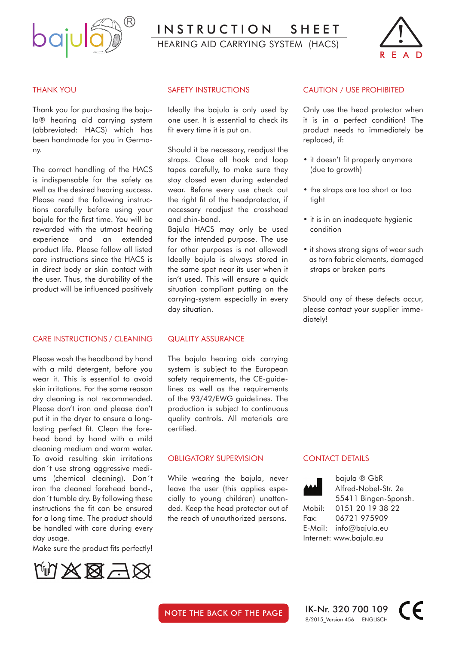

INSTRUCTION SHEET

hearing aid carrying System (HACS)



#### THANK YOU

Thank you for purchasing the bajula® hearing aid carrying system (abbreviated: HACS) which has been handmade for you in Germany.

The correct handling of the HACS is indispensable for the safety as well as the desired hearing success. Please read the following instructions carefully before using your bajula for the first time. You will be rewarded with the utmost hearing experience and an extended product life. Please follow all listed care instructions since the HACS is in direct body or skin contact with the user. Thus, the durability of the product will be influenced positively

#### CARE INSTRUCTIONS / CLEANING

Please wash the headband by hand with a mild detergent, before you wear it. This is essential to avoid skin irritations. For the same reason dry cleaning is not recommended. Please don't iron and please don't put it in the dryer to ensure a longlasting perfect fit. Clean the forehead band by hand with a mild cleaning medium and warm water. To avoid resulting skin irritations don´t use strong aggressive mediums (chemical cleaning). Don´t iron the cleaned forehead band-, don´t tumble dry. By following these instructions the fit can be ensured for a long time. The product should be handled with care during every day usage.

Make sure the product fits perfectly!



#### SAFETY INSTRUCTIONS

Ideally the bajula is only used by one user. It is essential to check its fit every time it is put on.

Should it be necessary, readjust the straps. Close all hook and loop tapes carefully, to make sure they stay closed even during extended wear. Before every use check out the right fit of the headprotector, if necessary readjust the crosshead and chin-band.

Bajula HACS may only be used for the intended purpose. The use for other purposes is not allowed! Ideally bajula is always stored in the same spot near its user when it isn't used. This will ensure a quick situation compliant putting on the carrying-system especially in every day situation.

#### QUALITY ASSURANCE

The bajula hearing aids carrying system is subject to the European safety requirements, the CE-guidelines as well as the requirements of the 93/42/EWG guidelines. The production is subject to continuous quality controls. All materials are certified.

#### OBLIGATORY SUPERVISION

While wearing the bajula, never leave the user (this applies especially to young children) unattended. Keep the head protector out of the reach of unauthorized persons.

#### CAUTION / USE PROHIBITED

Only use the head protector when it is in a perfect condition! The product needs to immediately be replaced, if:

- it doesn't fit properly anymore (due to growth)
- the straps are too short or too tight
- it is in an inadequate hygienic condition
- it shows strong signs of wear such as torn fabric elements, damaged straps or broken parts

Should any of these defects occur, please contact your supplier immediately!

#### CONTACT DETAILS



 bajula ® GbR Alfred-Nobel-Str. 2e 55411 Bingen-Sponsh. Mobil: 0151 20 19 38 22 Fax: 06721 975909 E-Mail: info@bajula.eu Internet: www.bajula.eu